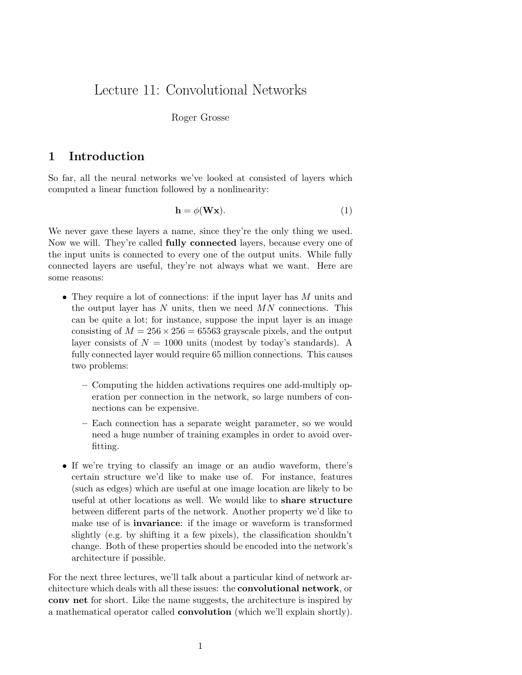# Lecture 11: Convolutional Networks

#### Roger Grosse

## 1 Introduction

So far, all the neural networks we've looked at consisted of layers which computed a linear function followed by a nonlinearity:

$$
\mathbf{h} = \phi(\mathbf{W}\mathbf{x}).\tag{1}
$$

We never gave these layers a name, since they're the only thing we used. Now we will. They're called fully connected layers, because every one of the input units is connected to every one of the output units. While fully connected layers are useful, they're not always what we want. Here are some reasons:

- They require a lot of connections: if the input layer has M units and the output layer has  $N$  units, then we need  $MN$  connections. This can be quite a lot; for instance, suppose the input layer is an image consisting of  $M = 256 \times 256 = 65563$  grayscale pixels, and the output layer consists of  $N = 1000$  units (modest by today's standards). A fully connected layer would require 65 million connections. This causes two problems:
	- Computing the hidden activations requires one add-multiply operation per connection in the network, so large numbers of connections can be expensive.
	- Each connection has a separate weight parameter, so we would need a huge number of training examples in order to avoid overfitting.
- If we're trying to classify an image or an audio waveform, there's certain structure we'd like to make use of. For instance, features (such as edges) which are useful at one image location are likely to be useful at other locations as well. We would like to share structure between different parts of the network. Another property we'd like to make use of is invariance: if the image or waveform is transformed slightly (e.g. by shifting it a few pixels), the classification shouldn't change. Both of these properties should be encoded into the network's architecture if possible.

For the next three lectures, we'll talk about a particular kind of network architecture which deals with all these issues: the convolutional network, or conv net for short. Like the name suggests, the architecture is inspired by a mathematical operator called convolution (which we'll explain shortly).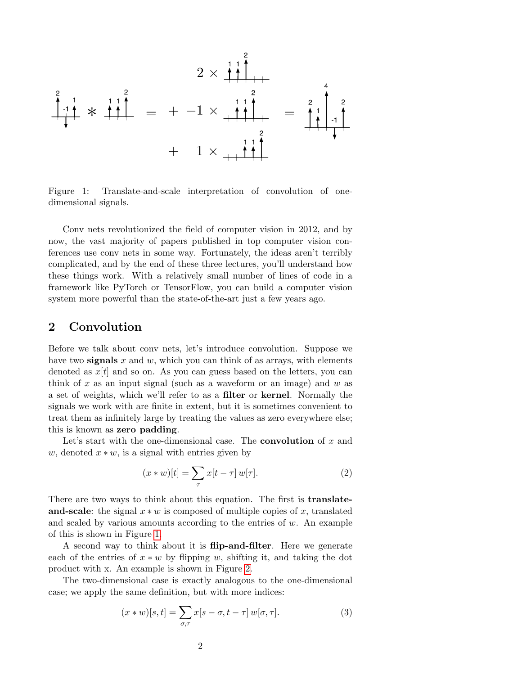

<span id="page-1-0"></span>Figure 1: Translate-and-scale interpretation of convolution of onedimensional signals.

Conv nets revolutionized the field of computer vision in 2012, and by now, the vast majority of papers published in top computer vision conferences use conv nets in some way. Fortunately, the ideas aren't terribly complicated, and by the end of these three lectures, you'll understand how these things work. With a relatively small number of lines of code in a framework like PyTorch or TensorFlow, you can build a computer vision system more powerful than the state-of-the-art just a few years ago.

## 2 Convolution

Before we talk about conv nets, let's introduce convolution. Suppose we have two signals  $x$  and  $w$ , which you can think of as arrays, with elements denoted as  $x[t]$  and so on. As you can guess based on the letters, you can think of x as an input signal (such as a waveform or an image) and  $w$  as a set of weights, which we'll refer to as a filter or kernel. Normally the signals we work with are finite in extent, but it is sometimes convenient to treat them as infinitely large by treating the values as zero everywhere else; this is known as zero padding.

Let's start with the one-dimensional case. The **convolution** of  $x$  and w, denoted  $x * w$ , is a signal with entries given by

$$
(x * w)[t] = \sum_{\tau} x[t - \tau] w[\tau]. \tag{2}
$$

There are two ways to think about this equation. The first is **translate**and-scale: the signal  $x * w$  is composed of multiple copies of x, translated and scaled by various amounts according to the entries of  $w$ . An example of this is shown in Figure [1.](#page-1-0)

A second way to think about it is **flip-and-filter**. Here we generate each of the entries of  $x * w$  by flipping w, shifting it, and taking the dot product with x. An example is shown in Figure [2.](#page-2-0)

The two-dimensional case is exactly analogous to the one-dimensional case; we apply the same definition, but with more indices:

$$
(x * w)[s, t] = \sum_{\sigma, \tau} x[s - \sigma, t - \tau] w[\sigma, \tau]. \tag{3}
$$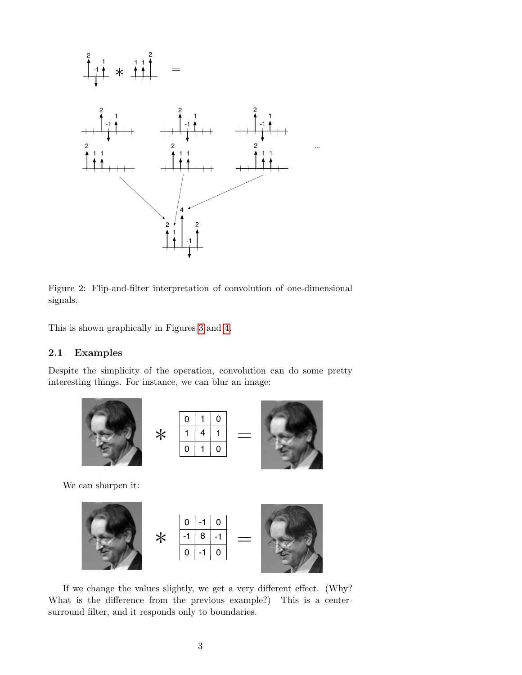

<span id="page-2-0"></span>Figure 2: Flip-and-filter interpretation of convolution of one-dimensional signals.

This is shown graphically in Figures [3](#page-3-0) and [4.](#page-3-1)

### 2.1 Examples

Despite the simplicity of the operation, convolution can do some pretty interesting things. For instance, we can blur an image:







We can sharpen it:



If we change the values slightly, we get a very different effect. (Why? What is the difference from the previous example?) This is a centersurround filter, and it responds only to boundaries.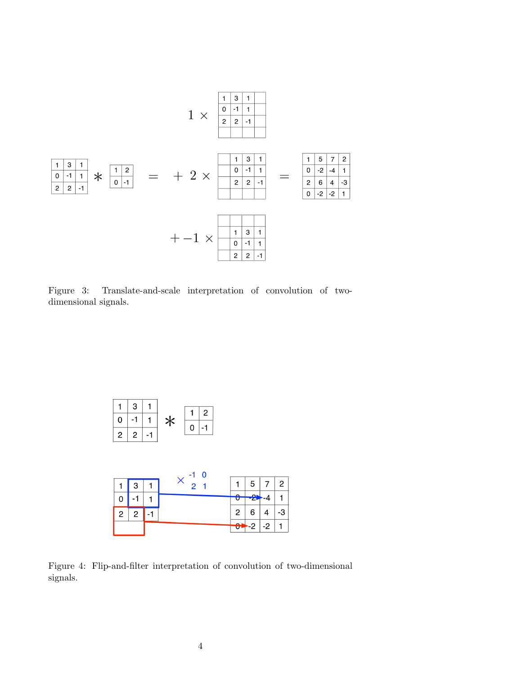

<span id="page-3-0"></span>Figure 3: Translate-and-scale interpretation of convolution of twodimensional signals.



<span id="page-3-1"></span>Figure 4: Flip-and-filter interpretation of convolution of two-dimensional signals.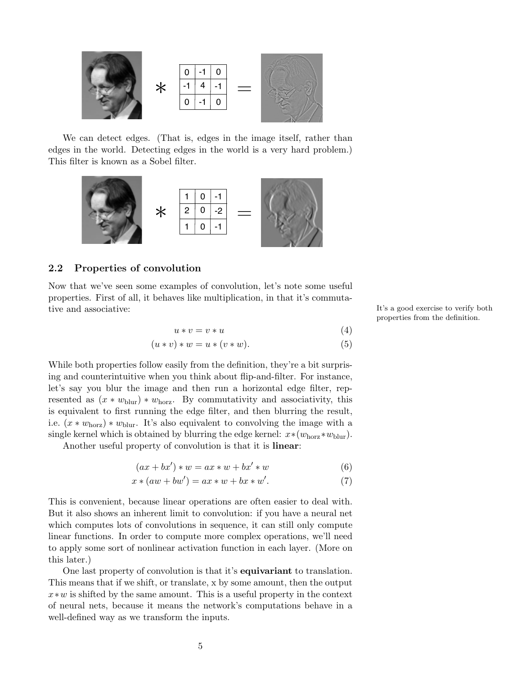

We can detect edges. (That is, edges in the image itself, rather than edges in the world. Detecting edges in the world is a very hard problem.) This filter is known as a Sobel filter.



#### 2.2 Properties of convolution

Now that we've seen some examples of convolution, let's note some useful properties. First of all, it behaves like multiplication, in that it's commutative and associative: It's a good exercise to verify both

$$
u * v = v * u \tag{4}
$$

$$
(u * v) * w = u * (v * w).
$$
\n<sup>(5)</sup>

While both properties follow easily from the definition, they're a bit surprising and counterintuitive when you think about flip-and-filter. For instance, let's say you blur the image and then run a horizontal edge filter, represented as  $(x * w_{\text{blur}}) * w_{\text{horz}}$ . By commutativity and associativity, this is equivalent to first running the edge filter, and then blurring the result, i.e.  $(x * w<sub>horz</sub>) * w<sub>blur</sub>$ . It's also equivalent to convolving the image with a single kernel which is obtained by blurring the edge kernel:  $x*(w_{\text{horz}}*w_{\text{blur}})$ .

Another useful property of convolution is that it is linear:

$$
(ax + bx') * w = ax * w + bx' * w \tag{6}
$$

$$
x * (aw + bw') = ax * w + bx * w'. \tag{7}
$$

This is convenient, because linear operations are often easier to deal with. But it also shows an inherent limit to convolution: if you have a neural net which computes lots of convolutions in sequence, it can still only compute linear functions. In order to compute more complex operations, we'll need to apply some sort of nonlinear activation function in each layer. (More on this later.)

One last property of convolution is that it's equivariant to translation. This means that if we shift, or translate, x by some amount, then the output  $x*w$  is shifted by the same amount. This is a useful property in the context of neural nets, because it means the network's computations behave in a well-defined way as we transform the inputs.

properties from the definition.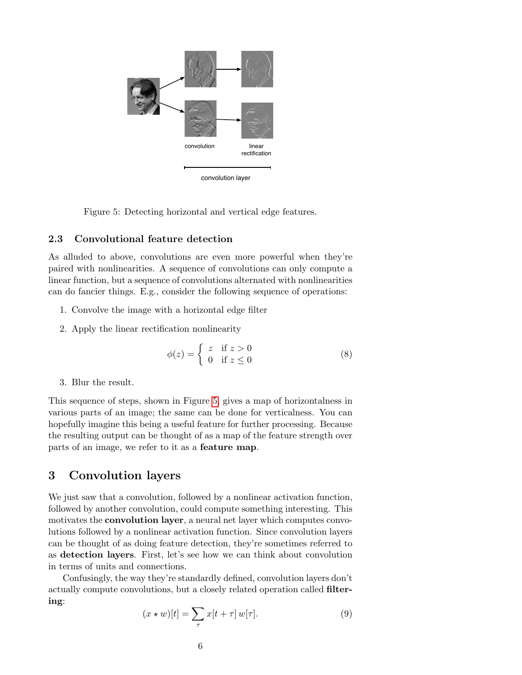

<span id="page-5-0"></span>Figure 5: Detecting horizontal and vertical edge features.

### 2.3 Convolutional feature detection

As alluded to above, convolutions are even more powerful when they're paired with nonlinearities. A sequence of convolutions can only compute a linear function, but a sequence of convolutions alternated with nonlinearities can do fancier things. E.g., consider the following sequence of operations:

- 1. Convolve the image with a horizontal edge filter
- 2. Apply the linear rectification nonlinearity

$$
\phi(z) = \begin{cases} z & \text{if } z > 0 \\ 0 & \text{if } z \le 0 \end{cases}
$$
 (8)

3. Blur the result.

This sequence of steps, shown in Figure [5,](#page-5-0) gives a map of horizontalness in various parts of an image; the same can be done for verticalness. You can hopefully imagine this being a useful feature for further processing. Because the resulting output can be thought of as a map of the feature strength over parts of an image, we refer to it as a feature map.

## 3 Convolution layers

We just saw that a convolution, followed by a nonlinear activation function, followed by another convolution, could compute something interesting. This motivates the convolution layer, a neural net layer which computes convolutions followed by a nonlinear activation function. Since convolution layers can be thought of as doing feature detection, they're sometimes referred to as detection layers. First, let's see how we can think about convolution in terms of units and connections.

Confusingly, the way they're standardly defined, convolution layers don't actually compute convolutions, but a closely related operation called filtering:

$$
(x \star w)[t] = \sum_{\tau} x[t + \tau] w[\tau]. \tag{9}
$$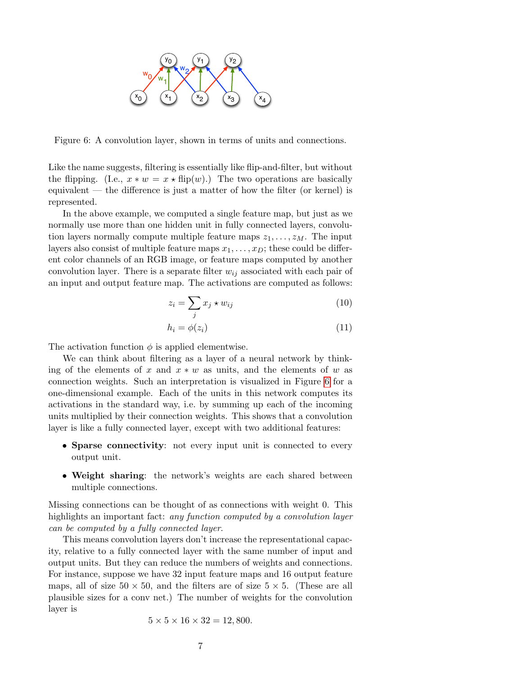

<span id="page-6-0"></span>Figure 6: A convolution layer, shown in terms of units and connections.

Like the name suggests, filtering is essentially like flip-and-filter, but without the flipping. (I.e.,  $x * w = x * flip(w)$ .) The two operations are basically equivalent — the difference is just a matter of how the filter (or kernel) is represented.

In the above example, we computed a single feature map, but just as we normally use more than one hidden unit in fully connected layers, convolution layers normally compute multiple feature maps  $z_1, \ldots, z_M$ . The input layers also consist of multiple feature maps  $x_1, \ldots, x_D$ ; these could be different color channels of an RGB image, or feature maps computed by another convolution layer. There is a separate filter  $w_{ij}$  associated with each pair of an input and output feature map. The activations are computed as follows:

$$
z_i = \sum_j x_j \star w_{ij} \tag{10}
$$

$$
h_i = \phi(z_i) \tag{11}
$$

The activation function  $\phi$  is applied elementwise.

We can think about filtering as a layer of a neural network by thinking of the elements of x and  $x * w$  as units, and the elements of w as connection weights. Such an interpretation is visualized in Figure [6](#page-6-0) for a one-dimensional example. Each of the units in this network computes its activations in the standard way, i.e. by summing up each of the incoming units multiplied by their connection weights. This shows that a convolution layer is like a fully connected layer, except with two additional features:

- Sparse connectivity: not every input unit is connected to every output unit.
- Weight sharing: the network's weights are each shared between multiple connections.

Missing connections can be thought of as connections with weight 0. This highlights an important fact: *any function computed by a convolution layer* can be computed by a fully connected layer.

This means convolution layers don't increase the representational capacity, relative to a fully connected layer with the same number of input and output units. But they can reduce the numbers of weights and connections. For instance, suppose we have 32 input feature maps and 16 output feature maps, all of size  $50 \times 50$ , and the filters are of size  $5 \times 5$ . (These are all plausible sizes for a conv net.) The number of weights for the convolution layer is

$$
5 \times 5 \times 16 \times 32 = 12,800.
$$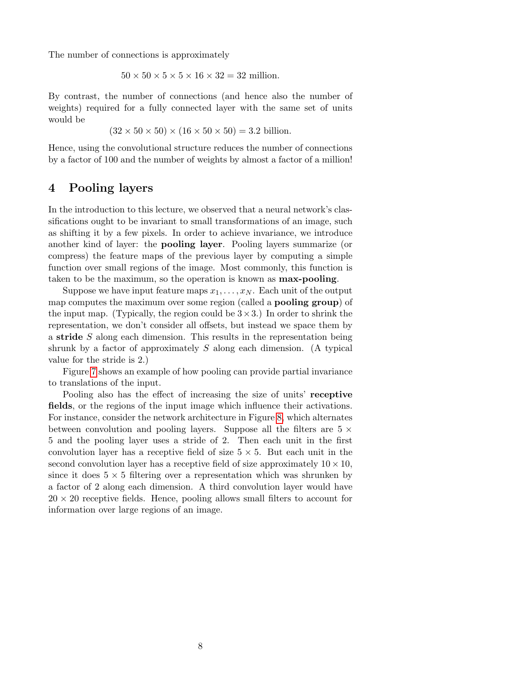The number of connections is approximately

 $50 \times 50 \times 5 \times 5 \times 16 \times 32 = 32$  million.

By contrast, the number of connections (and hence also the number of weights) required for a fully connected layer with the same set of units would be

 $(32 \times 50 \times 50) \times (16 \times 50 \times 50) = 3.2$  billion.

Hence, using the convolutional structure reduces the number of connections by a factor of 100 and the number of weights by almost a factor of a million!

## 4 Pooling layers

In the introduction to this lecture, we observed that a neural network's classifications ought to be invariant to small transformations of an image, such as shifting it by a few pixels. In order to achieve invariance, we introduce another kind of layer: the pooling layer. Pooling layers summarize (or compress) the feature maps of the previous layer by computing a simple function over small regions of the image. Most commonly, this function is taken to be the maximum, so the operation is known as max-pooling.

Suppose we have input feature maps  $x_1, \ldots, x_N$ . Each unit of the output map computes the maximum over some region (called a pooling group) of the input map. (Typically, the region could be  $3 \times 3$ .) In order to shrink the representation, we don't consider all offsets, but instead we space them by a stride S along each dimension. This results in the representation being shrunk by a factor of approximately  $S$  along each dimension. (A typical value for the stride is 2.)

Figure [7](#page-8-0) shows an example of how pooling can provide partial invariance to translations of the input.

Pooling also has the effect of increasing the size of units' receptive fields, or the regions of the input image which influence their activations. For instance, consider the network architecture in Figure [8,](#page-8-1) which alternates between convolution and pooling layers. Suppose all the filters are  $5 \times$ 5 and the pooling layer uses a stride of 2. Then each unit in the first convolution layer has a receptive field of size  $5 \times 5$ . But each unit in the second convolution layer has a receptive field of size approximately  $10 \times 10$ , since it does  $5 \times 5$  filtering over a representation which was shrunken by a factor of 2 along each dimension. A third convolution layer would have  $20 \times 20$  receptive fields. Hence, pooling allows small filters to account for information over large regions of an image.